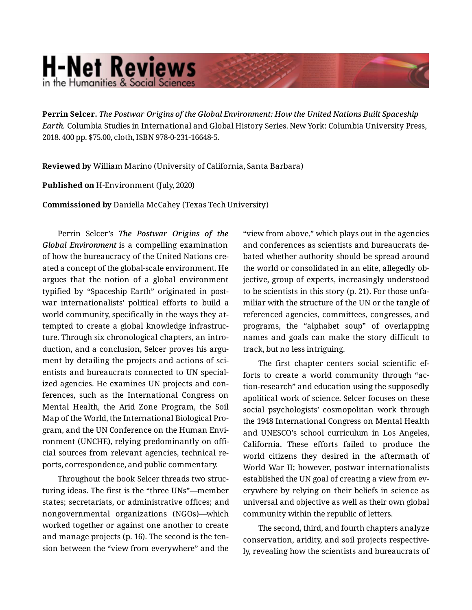## **H-Net Reviews** in the Humanities & Social Sciend

**Perrin Selcer.** *The Postwar Origins of the Global Environment: How the United Nations Built Spaceship Earth.* Columbia Studies in International and Global History Series. New York: Columbia University Press, 2018. 400 pp. \$75.00, cloth, ISBN 978-0-231-16648-5.

**Reviewed by** William Marino (University of California, Santa Barbara)

## **Published on** H-Environment (July, 2020)

**Commissioned by** Daniella McCahey (Texas Tech University)

Perrin Selcer's *The Postwar Origins of the Global Environment* is a compelling examination of how the bureaucracy of the United Nations cre‐ ated a concept of the global-scale environment. He argues that the notion of a global environment typified by "Spaceship Earth" originated in post‐ war internationalists' political efforts to build a world community, specifically in the ways they at‐ tempted to create a global knowledge infrastruc‐ ture. Through six chronological chapters, an intro‐ duction, and a conclusion, Selcer proves his argument by detailing the projects and actions of scientists and bureaucrats connected to UN special‐ ized agencies. He examines UN projects and con‐ ferences, such as the International Congress on Mental Health, the Arid Zone Program, the Soil Map of the World, the International Biological Pro‐ gram, and the UN Conference on the Human Envi‐ ronment (UNCHE), relying predominantly on offi‐ cial sources from relevant agencies, technical re‐ ports, correspondence, and public commentary.

Throughout the book Selcer threads two struc‐ turing ideas. The first is the "three UNs"—member states; secretariats, or administrative offices; and nongovernmental organizations (NGOs)—which worked together or against one another to create and manage projects (p. 16). The second is the ten‐ sion between the "view from everywhere" and the

"view from above," which plays out in the agencies and conferences as scientists and bureaucrats de‐ bated whether authority should be spread around the world or consolidated in an elite, allegedly ob‐ jective, group of experts, increasingly understood to be scientists in this story (p. 21). For those unfa‐ miliar with the structure of the UN or the tangle of referenced agencies, committees, congresses, and programs, the "alphabet soup" of overlapping names and goals can make the story difficult to track, but no less intriguing.

The first chapter centers social scientific ef‐ forts to create a world community through "ac‐ tion-research" and education using the supposedly apolitical work of science. Selcer focuses on these social psychologists' cosmopolitan work through the 1948 International Congress on Mental Health and UNESCO's school curriculum in Los Angeles, California. These efforts failed to produce the world citizens they desired in the aftermath of World War II; however, postwar internationalists established the UN goal of creating a view from everywhere by relying on their beliefs in science as universal and objective as well as their own global community within the republic of letters.

The second, third, and fourth chapters analyze conservation, aridity, and soil projects respective‐ ly, revealing how the scientists and bureaucrats of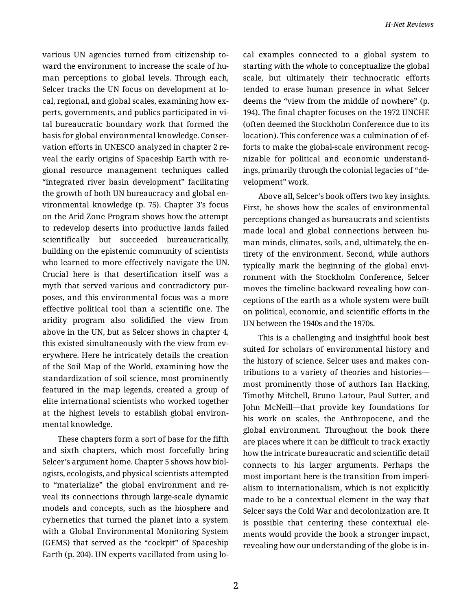various UN agencies turned from citizenship to‐ ward the environment to increase the scale of hu‐ man perceptions to global levels. Through each, Selcer tracks the UN focus on development at lo‐ cal, regional, and global scales, examining how ex‐ perts, governments, and publics participated in vi‐ tal bureaucratic boundary work that formed the basis for global environmental knowledge. Conser‐ vation efforts in UNESCO analyzed in chapter 2 re‐ veal the early origins of Spaceship Earth with re‐ gional resource management techniques called "integrated river basin development" facilitating the growth of both UN bureaucracy and global en‐ vironmental knowledge (p. 75). Chapter 3's focus on the Arid Zone Program shows how the attempt to redevelop deserts into productive lands failed scientifically but succeeded bureaucratically, building on the epistemic community of scientists who learned to more effectively navigate the UN. Crucial here is that desertification itself was a myth that served various and contradictory pur‐ poses, and this environmental focus was a more effective political tool than a scientific one. The aridity program also solidified the view from above in the UN, but as Selcer shows in chapter 4, this existed simultaneously with the view from ev‐ erywhere. Here he intricately details the creation of the Soil Map of the World, examining how the standardization of soil science, most prominently featured in the map legends, created a group of elite international scientists who worked together at the highest levels to establish global environ‐ mental knowledge.

These chapters form a sort of base for the fifth and sixth chapters, which most forcefully bring Selcer's argument home. Chapter 5 shows how biol‐ ogists, ecologists, and physical scientists attempted to "materialize" the global environment and re‐ veal its connections through large-scale dynamic models and concepts, such as the biosphere and cybernetics that turned the planet into a system with a Global Environmental Monitoring System (GEMS) that served as the "cockpit" of Spaceship Earth (p. 204). UN experts vacillated from using lo‐

cal examples connected to a global system to starting with the whole to conceptualize the global scale, but ultimately their technocratic efforts tended to erase human presence in what Selcer deems the "view from the middle of nowhere" (p. 194). The final chapter focuses on the 1972 UNCHE (often deemed the Stockholm Conference due to its location). This conference was a culmination of ef‐ forts to make the global-scale environment recog‐ nizable for political and economic understand‐ ings, primarily through the colonial legacies of "de‐ velopment" work.

Above all, Selcer's book offers two key insights. First, he shows how the scales of environmental perceptions changed as bureaucrats and scientists made local and global connections between human minds, climates, soils, and, ultimately, the en‐ tirety of the environment. Second, while authors typically mark the beginning of the global envi‐ ronment with the Stockholm Conference, Selcer moves the timeline backward revealing how con‐ ceptions of the earth as a whole system were built on political, economic, and scientific efforts in the UN between the 1940s and the 1970s.

This is a challenging and insightful book best suited for scholars of environmental history and the history of science. Selcer uses and makes con‐ tributions to a variety of theories and histories most prominently those of authors Ian Hacking, Timothy Mitchell, Bruno Latour, Paul Sutter, and John McNeill—that provide key foundations for his work on scales, the Anthropocene, and the global environment. Throughout the book there are places where it can be difficult to track exactly how the intricate bureaucratic and scientific detail connects to his larger arguments. Perhaps the most important here is the transition from imperi‐ alism to internationalism, which is not explicitly made to be a contextual element in the way that Selcer says the Cold War and decolonization are. It is possible that centering these contextual ele‐ ments would provide the book a stronger impact, revealing how our understanding of the globe is in‐